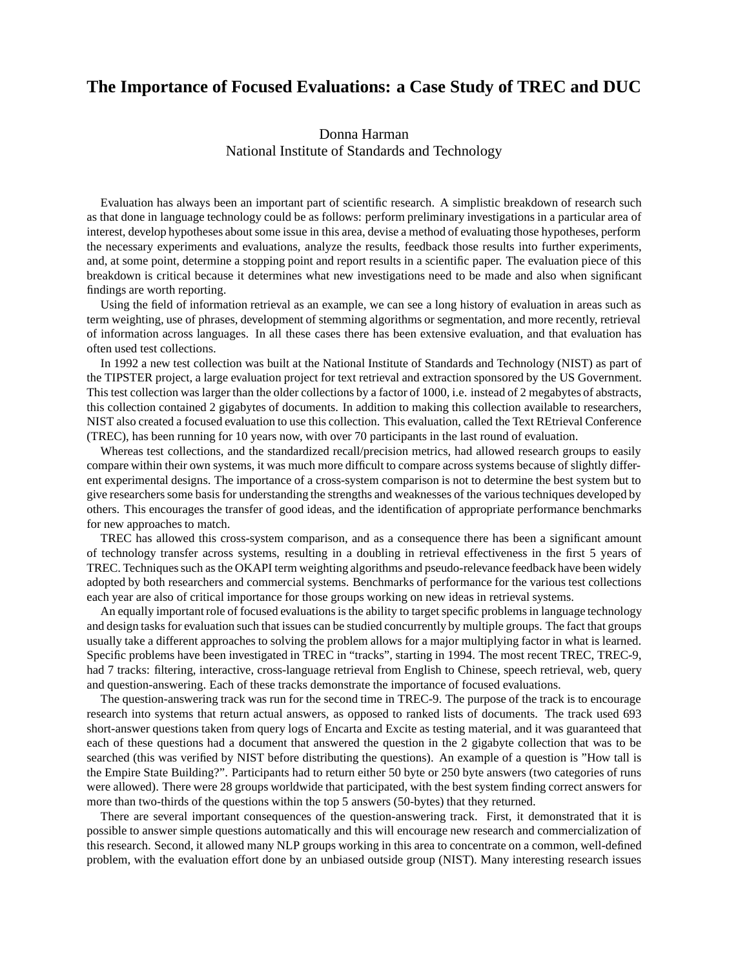## **The Importance of Focused Evaluations: a Case Study of TREC and DUC**

## Donna Harman

National Institute of Standards and Technology

Evaluation has always been an important part of scientific research. A simplistic breakdown of research such as that done in language technology could be as follows: perform preliminary investigations in a particular area of interest, develop hypotheses about some issue in this area, devise a method of evaluating those hypotheses, perform the necessary experiments and evaluations, analyze the results, feedback those results into further experiments, and, at some point, determine a stopping point and report results in a scientific paper. The evaluation piece of this breakdown is critical because it determines what new investigations need to be made and also when significant findings are worth reporting.

Using the field of information retrieval as an example, we can see a long history of evaluation in areas such as term weighting, use of phrases, development of stemming algorithms or segmentation, and more recently, retrieval of information across languages. In all these cases there has been extensive evaluation, and that evaluation has often used test collections.

In 1992 a new test collection was built at the National Institute of Standards and Technology (NIST) as part of the TIPSTER project, a large evaluation project for text retrieval and extraction sponsored by the US Government. This test collection was larger than the older collections by a factor of 1000, i.e. instead of 2 megabytes of abstracts, this collection contained 2 gigabytes of documents. In addition to making this collection available to researchers, NIST also created a focused evaluation to use this collection. This evaluation, called the Text REtrieval Conference (TREC), has been running for 10 years now, with over 70 participants in the last round of evaluation.

Whereas test collections, and the standardized recall/precision metrics, had allowed research groups to easily compare within their own systems, it was much more difficult to compare across systems because of slightly different experimental designs. The importance of a cross-system comparison is not to determine the best system but to give researchers some basis for understanding the strengths and weaknesses of the various techniques developed by others. This encourages the transfer of good ideas, and the identification of appropriate performance benchmarks for new approaches to match.

TREC has allowed this cross-system comparison, and as a consequence there has been a significant amount of technology transfer across systems, resulting in a doubling in retrieval effectiveness in the first 5 years of TREC. Techniques such as the OKAPI term weighting algorithms and pseudo-relevance feedback have been widely adopted by both researchers and commercial systems. Benchmarks of performance for the various test collections each year are also of critical importance for those groups working on new ideas in retrieval systems.

An equally important role of focused evaluations is the ability to target specific problems in language technology and design tasks for evaluation such that issues can be studied concurrently by multiple groups. The fact that groups usually take a different approaches to solving the problem allows for a major multiplying factor in what is learned. Specific problems have been investigated in TREC in "tracks", starting in 1994. The most recent TREC, TREC-9, had 7 tracks: filtering, interactive, cross-language retrieval from English to Chinese, speech retrieval, web, query and question-answering. Each of these tracks demonstrate the importance of focused evaluations.

The question-answering track was run for the second time in TREC-9. The purpose of the track is to encourage research into systems that return actual answers, as opposed to ranked lists of documents. The track used 693 short-answer questions taken from query logs of Encarta and Excite as testing material, and it was guaranteed that each of these questions had a document that answered the question in the 2 gigabyte collection that was to be searched (this was verified by NIST before distributing the questions). An example of a question is "How tall is the Empire State Building?". Participants had to return either 50 byte or 250 byte answers (two categories of runs were allowed). There were 28 groups worldwide that participated, with the best system finding correct answers for more than two-thirds of the questions within the top 5 answers (50-bytes) that they returned.

There are several important consequences of the question-answering track. First, it demonstrated that it is possible to answer simple questions automatically and this will encourage new research and commercialization of this research. Second, it allowed many NLP groups working in this area to concentrate on a common, well-defined problem, with the evaluation effort done by an unbiased outside group (NIST). Many interesting research issues